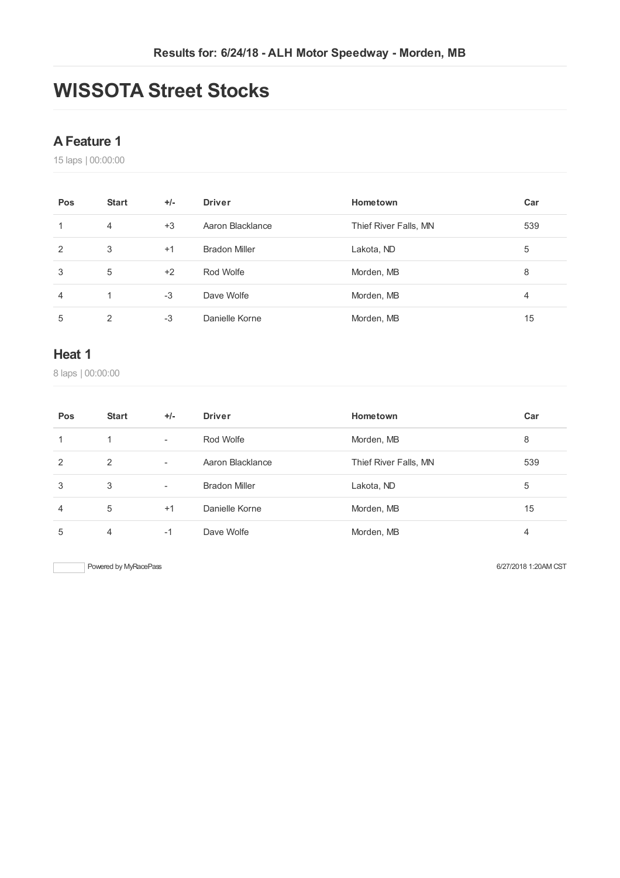## **WISSOTA Street Stocks**

#### **AFeature 1**

laps | 00:00:00

| Pos            | <b>Start</b> | $+/-$ | <b>Driver</b>        | Hometown              | Car |
|----------------|--------------|-------|----------------------|-----------------------|-----|
| 1              | 4            | $+3$  | Aaron Blacklance     | Thief River Falls, MN | 539 |
| $\overline{2}$ | 3            | $+1$  | <b>Bradon Miller</b> | Lakota, ND            | 5   |
| 3              | 5            | $+2$  | Rod Wolfe            | Morden, MB            | 8   |
| 4              |              | $-3$  | Dave Wolfe           | Morden, MB            | 4   |
| 5              | 2            | $-3$  | Danielle Korne       | Morden, MB            | 15  |

#### **Heat 1**

laps | 00:00:00

| Pos | <b>Start</b> | $+/-$                    | <b>Driver</b>        | Hometown              | Car |
|-----|--------------|--------------------------|----------------------|-----------------------|-----|
| 1   | 1            | $\overline{\phantom{a}}$ | Rod Wolfe            | Morden, MB            | 8   |
| 2   | 2            | $\overline{\phantom{a}}$ | Aaron Blacklance     | Thief River Falls, MN | 539 |
| 3   | 3            | $\overline{\phantom{a}}$ | <b>Bradon Miller</b> | Lakota, ND            | 5   |
| 4   | 5            | $+1$                     | Danielle Korne       | Morden, MB            | 15  |
| 5   | 4            | -1                       | Dave Wolfe           | Morden, MB            | 4   |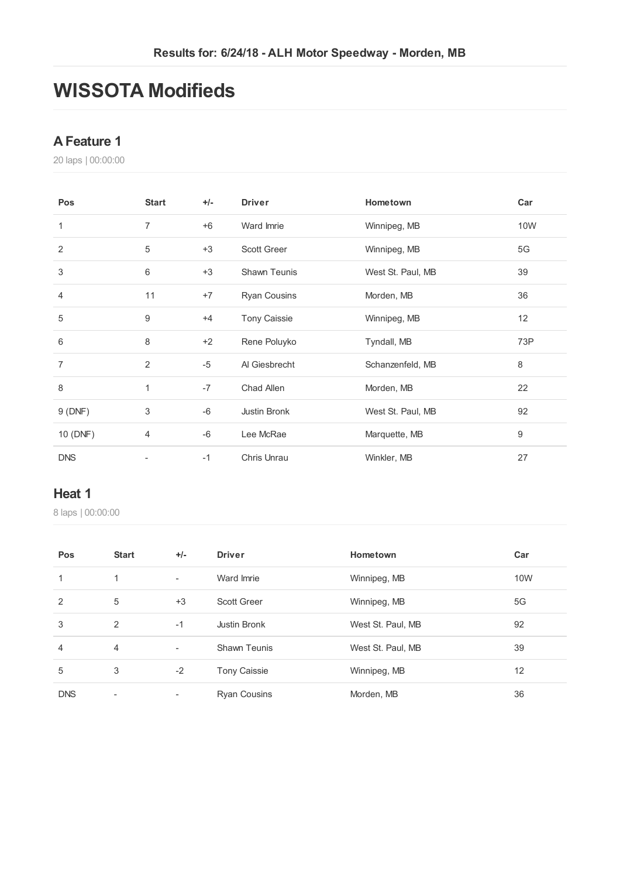## **WISSOTA Modifieds**

#### **AFeature 1**

laps | 00:00:00

| Pos            | <b>Start</b> | $+/-$ | <b>Driver</b>       | Hometown          | Car |
|----------------|--------------|-------|---------------------|-------------------|-----|
| $\mathbf{1}$   | 7            | $+6$  | Ward Imrie          | Winnipeg, MB      | 10W |
| 2              | 5            | $+3$  | <b>Scott Greer</b>  | Winnipeg, MB      | 5G  |
| $\sqrt{3}$     | 6            | $+3$  | Shawn Teunis        | West St. Paul, MB | 39  |
| 4              | 11           | $+7$  | <b>Ryan Cousins</b> | Morden, MB        | 36  |
| 5              | 9            | $+4$  | <b>Tony Caissie</b> | Winnipeg, MB      | 12  |
| 6              | 8            | $+2$  | Rene Poluyko        | Tyndall, MB       | 73P |
| $\overline{7}$ | 2            | $-5$  | Al Giesbrecht       | Schanzenfeld, MB  | 8   |
| 8              | 1            | $-7$  | Chad Allen          | Morden, MB        | 22  |
| 9(DNF)         | 3            | $-6$  | Justin Bronk        | West St. Paul, MB | 92  |
| 10 (DNF)       | 4            | $-6$  | Lee McRae           | Marquette, MB     | 9   |
| <b>DNS</b>     |              | $-1$  | Chris Unrau         | Winkler, MB       | 27  |

#### **Heat 1**

| Pos            | <b>Start</b>             | $+/-$                    | <b>Driver</b>       | Hometown          | Car        |
|----------------|--------------------------|--------------------------|---------------------|-------------------|------------|
| 1              | 1                        | $\overline{\phantom{a}}$ | Ward Imrie          | Winnipeg, MB      | <b>10W</b> |
| 2              | 5                        | $+3$                     | <b>Scott Greer</b>  | Winnipeg, MB      | 5G         |
| 3              | 2                        | $-1$                     | Justin Bronk        | West St. Paul, MB | 92         |
| $\overline{4}$ | $\overline{4}$           | -                        | <b>Shawn Teunis</b> | West St. Paul, MB | 39         |
| 5              | 3                        | $-2$                     | <b>Tony Caissie</b> | Winnipeg, MB      | 12         |
| <b>DNS</b>     | $\overline{\phantom{a}}$ |                          | <b>Ryan Cousins</b> | Morden, MB        | 36         |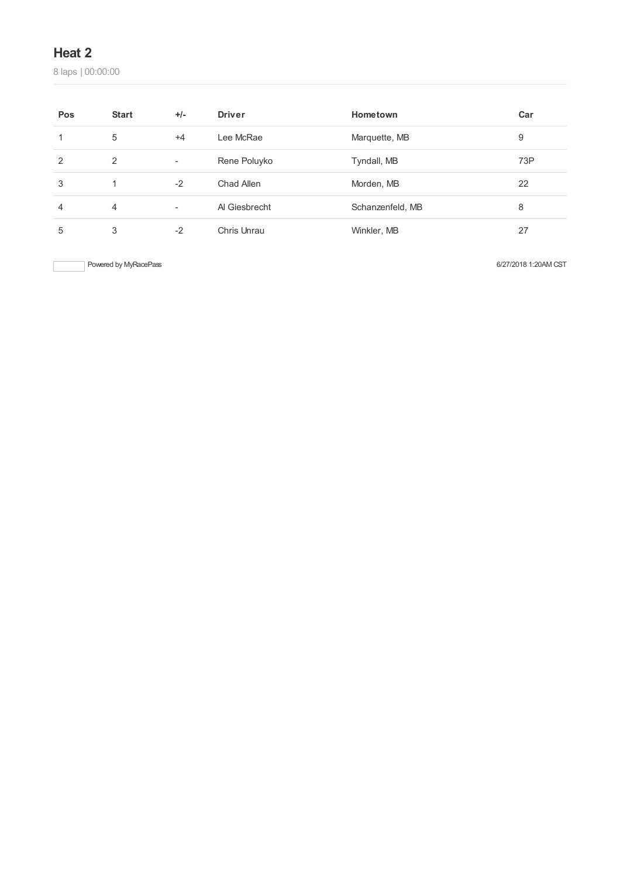laps | 00:00:00

| Pos | <b>Start</b>   | $+/-$                    | <b>Driver</b> | Hometown         | Car |
|-----|----------------|--------------------------|---------------|------------------|-----|
|     | 5              | $+4$                     | Lee McRae     | Marquette, MB    | 9   |
| 2   | 2              | $\overline{\phantom{a}}$ | Rene Poluyko  | Tyndall, MB      | 73P |
| 3   |                | $-2$                     | Chad Allen    | Morden, MB       | 22  |
| 4   | $\overline{4}$ | $\overline{\phantom{a}}$ | Al Giesbrecht | Schanzenfeld, MB | 8   |
| 5   | 3              | $-2$                     | Chris Unrau   | Winkler, MB      | 27  |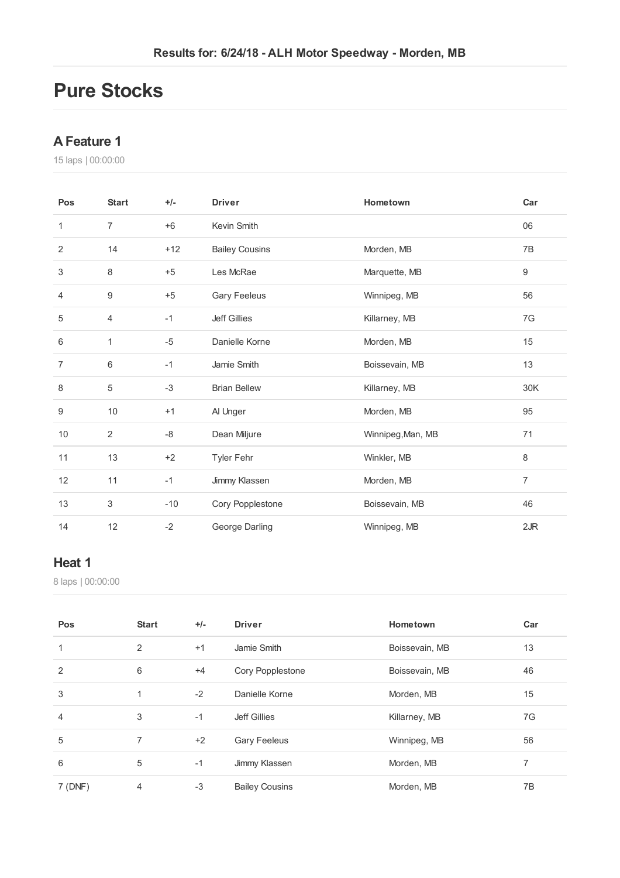## **Pure Stocks**

#### **AFeature 1**

laps | 00:00:00

| Pos            | <b>Start</b>     | $+/-$ | <b>Driver</b>         | Hometown          | Car              |
|----------------|------------------|-------|-----------------------|-------------------|------------------|
| 1              | 7                | $+6$  | Kevin Smith           |                   | 06               |
| $\overline{2}$ | 14               | $+12$ | <b>Bailey Cousins</b> | Morden, MB        | 7B               |
| 3              | 8                | $+5$  | Les McRae             | Marquette, MB     | $\boldsymbol{9}$ |
| $\overline{4}$ | $\boldsymbol{9}$ | $+5$  | Gary Feeleus          | Winnipeg, MB      | 56               |
| 5              | 4                | $-1$  | <b>Jeff Gillies</b>   | Killarney, MB     | 7G               |
| 6              | 1                | $-5$  | Danielle Korne        | Morden, MB        | 15               |
| $\overline{7}$ | 6                | $-1$  | Jamie Smith           | Boissevain, MB    | 13               |
| 8              | 5                | $-3$  | <b>Brian Bellew</b>   | Killarney, MB     | 30K              |
| 9              | 10               | $+1$  | Al Unger              | Morden, MB        | 95               |
| 10             | $\overline{2}$   | $-8$  | Dean Miljure          | Winnipeg, Man, MB | 71               |
| 11             | 13               | $+2$  | Tyler Fehr            | Winkler, MB       | 8                |
| 12             | 11               | $-1$  | Jimmy Klassen         | Morden, MB        | $\overline{7}$   |
| 13             | 3                | $-10$ | Cory Popplestone      | Boissevain, MB    | 46               |
| 14             | 12               | $-2$  | George Darling        | Winnipeg, MB      | 2JR              |

#### **Heat 1**

| Pos            | <b>Start</b> | $+/-$ | <b>Driver</b>         | Hometown       | Car |
|----------------|--------------|-------|-----------------------|----------------|-----|
| 1              | 2            | $+1$  | Jamie Smith           | Boissevain, MB | 13  |
| $\overline{2}$ | 6            | $+4$  | Cory Popplestone      | Boissevain, MB | 46  |
| 3              | 1            | $-2$  | Danielle Korne        | Morden, MB     | 15  |
| 4              | 3            | $-1$  | Jeff Gillies          | Killarney, MB  | 7G  |
| 5              | 7            | $+2$  | Gary Feeleus          | Winnipeg, MB   | 56  |
| 6              | 5            | $-1$  | Jimmy Klassen         | Morden, MB     | 7   |
| 7(DNF)         | 4            | $-3$  | <b>Bailey Cousins</b> | Morden, MB     | 7B  |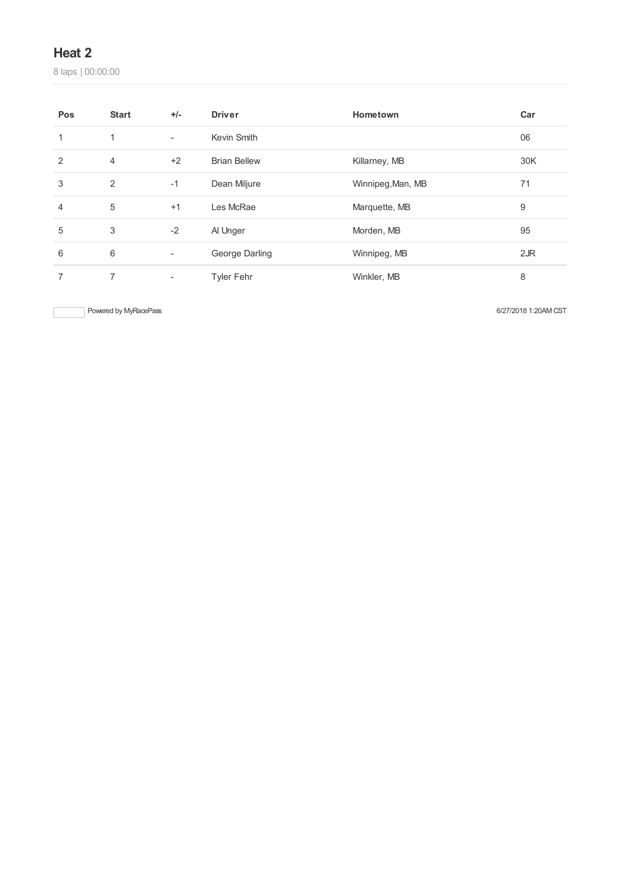laps | 00:00:00

| Pos            | <b>Start</b>   | $+/-$                    | <b>Driver</b>       | Hometown          | Car |
|----------------|----------------|--------------------------|---------------------|-------------------|-----|
| 1              | 1              | $\overline{\phantom{a}}$ | Kevin Smith         |                   | 06  |
| $\overline{2}$ | $\overline{4}$ | $+2$                     | <b>Brian Bellew</b> | Killarney, MB     | 30K |
| 3              | 2              | $-1$                     | Dean Miljure        | Winnipeg, Man, MB | 71  |
| 4              | 5              | $+1$                     | Les McRae           | Marquette, MB     | 9   |
| 5              | 3              | $-2$                     | Al Unger            | Morden, MB        | 95  |
| 6              | $6\,$          | $\overline{\phantom{a}}$ | George Darling      | Winnipeg, MB      | 2JR |
| 7              | 7              | $\overline{\phantom{a}}$ | <b>Tyler Fehr</b>   | Winkler, MB       | 8   |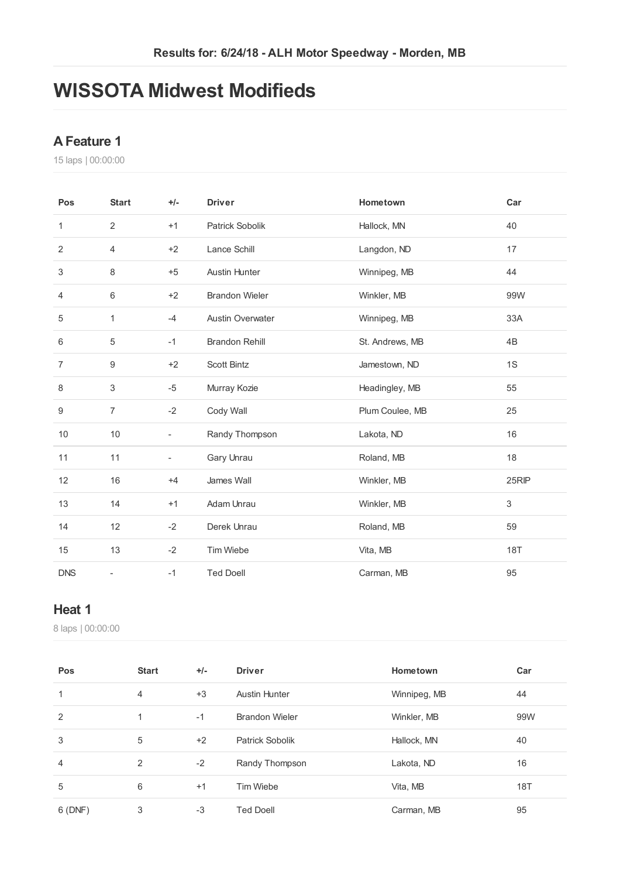## **WISSOTA Midwest Modifieds**

#### **AFeature 1**

laps | 00:00:00

| Pos            | <b>Start</b>             | $+/-$                    | <b>Driver</b>           | Hometown        | Car                       |
|----------------|--------------------------|--------------------------|-------------------------|-----------------|---------------------------|
| 1              | 2                        | $+1$                     | Patrick Sobolik         | Hallock, MN     | 40                        |
| 2              | $\overline{4}$           | $+2$                     | Lance Schill            | Langdon, ND     | 17                        |
| $\sqrt{3}$     | 8                        | $+5$                     | <b>Austin Hunter</b>    | Winnipeg, MB    | 44                        |
| 4              | 6                        | $+2$                     | <b>Brandon Wieler</b>   | Winkler, MB     | 99W                       |
| 5              | 1                        | $-4$                     | <b>Austin Overwater</b> | Winnipeg, MB    | 33A                       |
| 6              | $\,$ 5 $\,$              | $-1$                     | <b>Brandon Rehill</b>   | St. Andrews, MB | 4B                        |
| $\overline{7}$ | 9                        | $+2$                     | Scott Bintz             | Jamestown, ND   | 1S                        |
| 8              | 3                        | $-5$                     | Murray Kozie            | Headingley, MB  | 55                        |
| 9              | $\overline{7}$           | $-2$                     | Cody Wall               | Plum Coulee, MB | 25                        |
| 10             | 10                       | $\overline{\phantom{a}}$ | Randy Thompson          | Lakota, ND      | 16                        |
| 11             | 11                       | ÷                        | Gary Unrau              | Roland, MB      | 18                        |
| 12             | 16                       | $+4$                     | James Wall              | Winkler, MB     | 25RIP                     |
| 13             | 14                       | $+1$                     | Adam Unrau              | Winkler, MB     | $\ensuremath{\mathsf{3}}$ |
| 14             | 12                       | $-2$                     | Derek Unrau             | Roland, MB      | 59                        |
| 15             | 13                       | $-2$                     | Tim Wiebe               | Vita, MB        | <b>18T</b>                |
| <b>DNS</b>     | $\overline{\phantom{0}}$ | $-1$                     | <b>Ted Doell</b>        | Carman, MB      | 95                        |

#### **Heat 1**

| Pos            | <b>Start</b> | $+/-$ | <b>Driver</b>         | Hometown     | Car        |
|----------------|--------------|-------|-----------------------|--------------|------------|
| 1              | 4            | $+3$  | <b>Austin Hunter</b>  | Winnipeg, MB | 44         |
| 2              | 1            | $-1$  | <b>Brandon Wieler</b> | Winkler, MB  | 99W        |
| 3              | 5            | $+2$  | Patrick Sobolik       | Hallock, MN  | 40         |
| $\overline{4}$ | 2            | $-2$  | Randy Thompson        | Lakota, ND   | 16         |
| 5              | 6            | $+1$  | Tim Wiebe             | Vita, MB     | <b>18T</b> |
| 6 (DNF)        | 3            | $-3$  | <b>Ted Doell</b>      | Carman, MB   | 95         |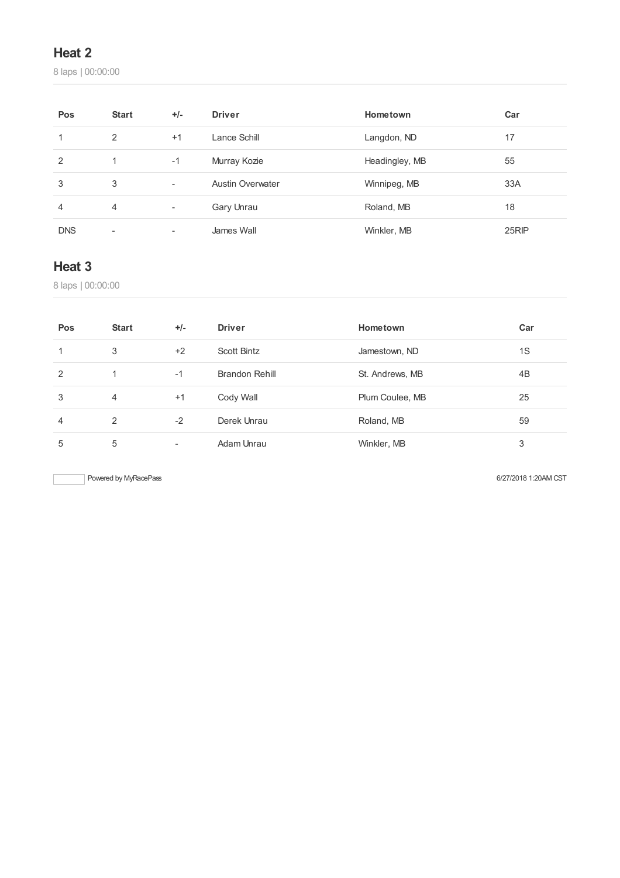laps | 00:00:00

| Pos            | <b>Start</b>   | $+/-$                    | <b>Driver</b>           | Hometown       | Car   |
|----------------|----------------|--------------------------|-------------------------|----------------|-------|
| 1              | 2              | $+1$                     | Lance Schill            | Langdon, ND    | 17    |
| $\overline{2}$ | 1              | $-1$                     | Murray Kozie            | Headingley, MB | 55    |
| 3              | 3              | $\overline{\phantom{a}}$ | <b>Austin Overwater</b> | Winnipeg, MB   | 33A   |
| 4              | $\overline{4}$ | $\overline{\phantom{a}}$ | Gary Unrau              | Roland, MB     | 18    |
| <b>DNS</b>     | ۰              | $\overline{\phantom{a}}$ | James Wall              | Winkler, MB    | 25RIP |

### **Heat 3**

laps | 00:00:00

| Pos           | <b>Start</b>   | $+/-$ | <b>Driver</b>  | Hometown        | Car |
|---------------|----------------|-------|----------------|-----------------|-----|
|               | 3              | $+2$  | Scott Bintz    | Jamestown, ND   | 1S  |
| $\mathcal{P}$ | $\overline{1}$ | $-1$  | Brandon Rehill | St. Andrews, MB | 4B  |
| 3             | 4              | $+1$  | Cody Wall      | Plum Coulee, MB | 25  |
| 4             | 2              | $-2$  | Derek Unrau    | Roland, MB      | 59  |
| 5             | 5              | -     | Adam Unrau     | Winkler, MB     | 3   |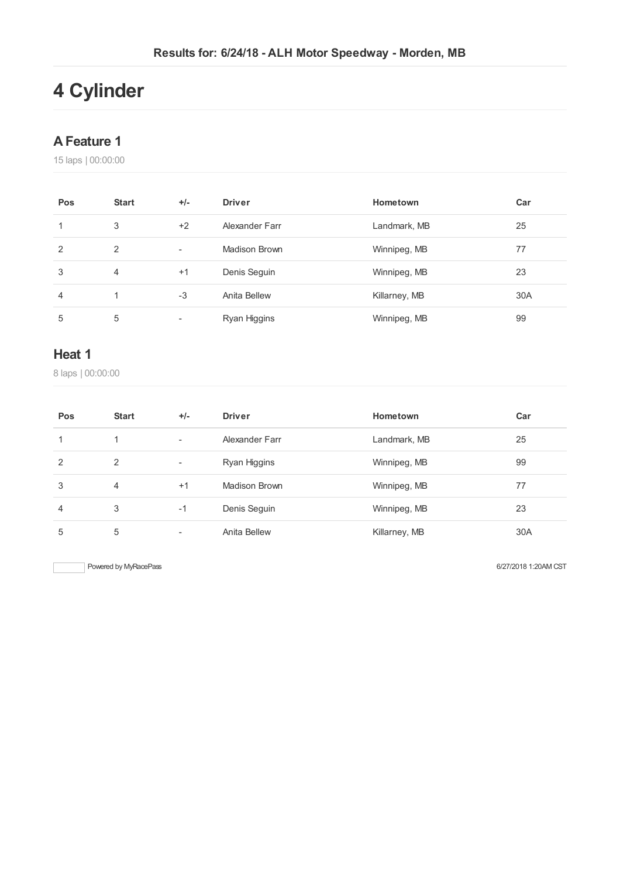# **Cylinder**

#### **AFeature 1**

laps | 00:00:00

| Pos | <b>Start</b>   | $+/-$                    | <b>Driver</b>  | Hometown      | Car |
|-----|----------------|--------------------------|----------------|---------------|-----|
| 1   | 3              | $+2$                     | Alexander Farr | Landmark, MB  | 25  |
| 2   | 2              | $\overline{\phantom{a}}$ | Madison Brown  | Winnipeg, MB  | 77  |
| 3   | $\overline{4}$ | $+1$                     | Denis Seguin   | Winnipeg, MB  | 23  |
| 4   |                | $-3$                     | Anita Bellew   | Killarney, MB | 30A |
| 5   | 5              | $\overline{\phantom{a}}$ | Ryan Higgins   | Winnipeg, MB  | 99  |

#### **Heat 1**

laps | 00:00:00

| Pos            | <b>Start</b> | $+/-$                    | <b>Driver</b>  | Hometown      | Car |
|----------------|--------------|--------------------------|----------------|---------------|-----|
| 1              | 1.           | $\overline{\phantom{a}}$ | Alexander Farr | Landmark, MB  | 25  |
| 2              | 2            | $\overline{\phantom{a}}$ | Ryan Higgins   | Winnipeg, MB  | 99  |
| 3              | 4            | $+1$                     | Madison Brown  | Winnipeg, MB  | 77  |
| $\overline{4}$ | 3            | $-1$                     | Denis Seguin   | Winnipeg, MB  | 23  |
| 5              | 5            | $\overline{\phantom{a}}$ | Anita Bellew   | Killarney, MB | 30A |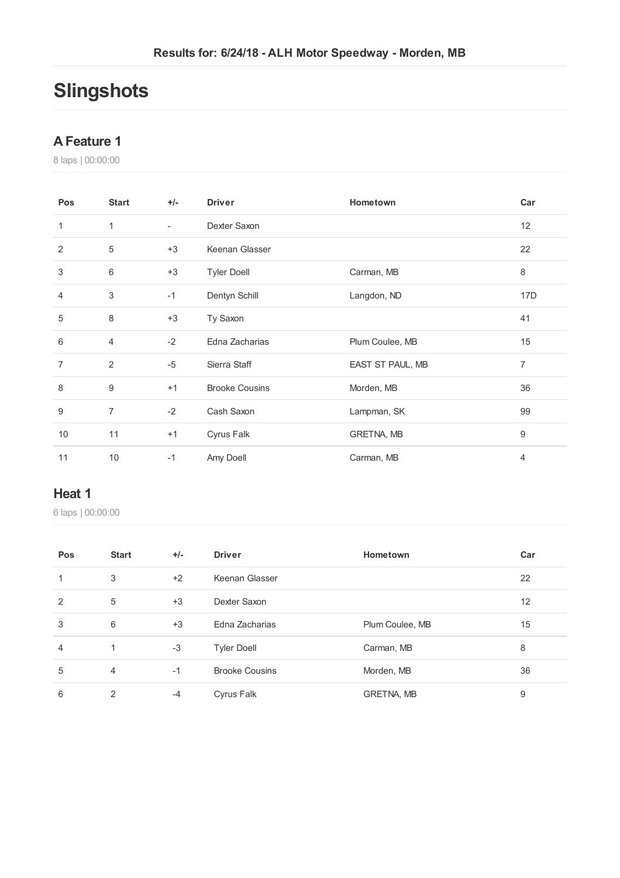# **Slingshots**

#### **AFeature 1**

laps | 00:00:00

| Pos            | <b>Start</b>              | $+/-$          | <b>Driver</b>         | Hometown         | Car             |
|----------------|---------------------------|----------------|-----------------------|------------------|-----------------|
| 1              | $\mathbf{1}$              | $\blacksquare$ | Dexter Saxon          |                  | 12              |
| $\overline{2}$ | 5                         | $+3$           | Keenan Glasser        |                  | 22              |
| 3              | 6                         | $+3$           | <b>Tyler Doell</b>    | Carman, MB       | 8               |
| $\overline{4}$ | $\ensuremath{\mathsf{3}}$ | $-1$           | Dentyn Schill         | Langdon, ND      | 17 <sub>D</sub> |
| 5              | 8                         | $+3$           | Ty Saxon              |                  | 41              |
| 6              | 4                         | $-2$           | Edna Zacharias        | Plum Coulee, MB  | 15              |
| 7              | $\overline{2}$            | $-5$           | Sierra Staff          | EAST ST PAUL, MB | $\overline{7}$  |
| 8              | 9                         | $+1$           | <b>Brooke Cousins</b> | Morden, MB       | 36              |
| 9              | $\overline{7}$            | $-2$           | Cash Saxon            | Lampman, SK      | 99              |
| 10             | 11                        | $+1$           | Cyrus Falk            | GRETNA, MB       | 9               |
| 11             | 10                        | $-1$           | Amy Doell             | Carman, MB       | $\overline{4}$  |

#### **Heat 1**

| Pos            | <b>Start</b>   | $+/-$ | <b>Driver</b>         | Hometown        | Car |
|----------------|----------------|-------|-----------------------|-----------------|-----|
| $\mathbf{1}$   | 3              | $+2$  | Keenan Glasser        |                 | 22  |
| 2              | 5              | $+3$  | Dexter Saxon          |                 | 12  |
| 3              | 6              | $+3$  | Edna Zacharias        | Plum Coulee, MB | 15  |
| $\overline{4}$ | 1              | $-3$  | <b>Tyler Doell</b>    | Carman, MB      | 8   |
| 5              | $\overline{4}$ | $-1$  | <b>Brooke Cousins</b> | Morden, MB      | 36  |
| 6              | 2              | $-4$  | Cyrus Falk            | GRETNA, MB      | 9   |